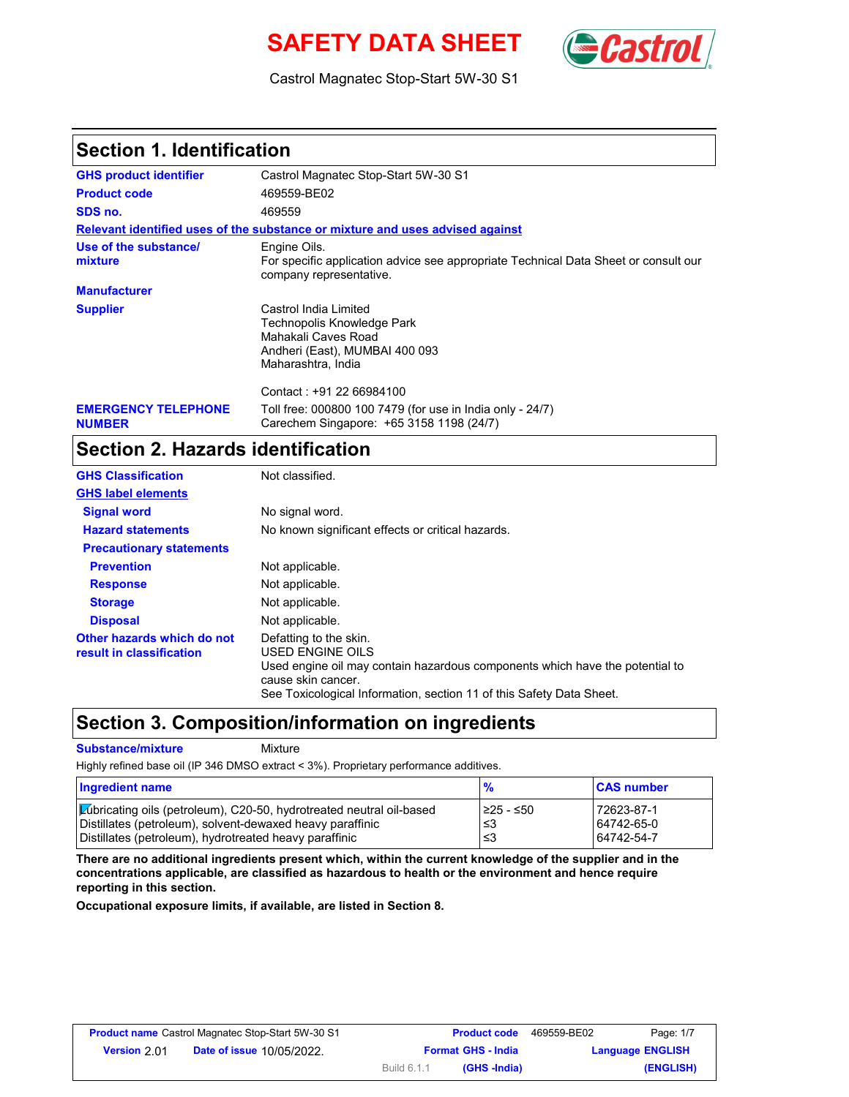# **SAFETY DATA SHEET** (**Castro**



Castrol Magnatec Stop-Start 5W-30 S1

### **Section 1. Identification**

| <b>GHS product identifier</b>               | Castrol Magnatec Stop-Start 5W-30 S1                                                                                               |
|---------------------------------------------|------------------------------------------------------------------------------------------------------------------------------------|
| <b>Product code</b>                         | 469559-BE02                                                                                                                        |
| SDS no.                                     | 469559                                                                                                                             |
|                                             | Relevant identified uses of the substance or mixture and uses advised against                                                      |
| Use of the substance/<br>mixture            | Engine Oils.<br>For specific application advice see appropriate Technical Data Sheet or consult our<br>company representative.     |
| <b>Manufacturer</b>                         |                                                                                                                                    |
| <b>Supplier</b>                             | Castrol India Limited<br>Technopolis Knowledge Park<br>Mahakali Caves Road<br>Andheri (East), MUMBAI 400 093<br>Maharashtra, India |
|                                             | Contact: +91 22 66984100                                                                                                           |
| <b>EMERGENCY TELEPHONE</b><br><b>NUMBER</b> | Toll free: 000800 100 7479 (for use in India only - 24/7)<br>Carechem Singapore: +65 3158 1198 (24/7)                              |

## **Section 2. Hazards identification**

| <b>GHS Classification</b>                              | Not classified.                                                                                                                                                                                                          |
|--------------------------------------------------------|--------------------------------------------------------------------------------------------------------------------------------------------------------------------------------------------------------------------------|
| <b>GHS label elements</b>                              |                                                                                                                                                                                                                          |
| <b>Signal word</b>                                     | No signal word.                                                                                                                                                                                                          |
| <b>Hazard statements</b>                               | No known significant effects or critical hazards.                                                                                                                                                                        |
| <b>Precautionary statements</b>                        |                                                                                                                                                                                                                          |
| <b>Prevention</b>                                      | Not applicable.                                                                                                                                                                                                          |
| <b>Response</b>                                        | Not applicable.                                                                                                                                                                                                          |
| <b>Storage</b>                                         | Not applicable.                                                                                                                                                                                                          |
| <b>Disposal</b>                                        | Not applicable.                                                                                                                                                                                                          |
| Other hazards which do not<br>result in classification | Defatting to the skin.<br>USED ENGINE OILS<br>Used engine oil may contain hazardous components which have the potential to<br>cause skin cancer.<br>See Toxicological Information, section 11 of this Safety Data Sheet. |

### **Section 3. Composition/information on ingredients**

**Substance/mixture Mixture** 

Highly refined base oil (IP 346 DMSO extract < 3%). Proprietary performance additives.

| Ingredient name                                                             | $\frac{9}{6}$ | <b>CAS number</b> |
|-----------------------------------------------------------------------------|---------------|-------------------|
| <b>Lubricating oils (petroleum), C20-50, hydrotreated neutral oil-based</b> | 1≥25 - ≤50    | 72623-87-1        |
| Distillates (petroleum), solvent-dewaxed heavy paraffinic                   | ∣≤3           | 64742-65-0        |
| Distillates (petroleum), hydrotreated heavy paraffinic                      | ≤3            | 64742-54-7        |

**There are no additional ingredients present which, within the current knowledge of the supplier and in the concentrations applicable, are classified as hazardous to health or the environment and hence require reporting in this section.**

**Occupational exposure limits, if available, are listed in Section 8.**

| Page: 1/7               | 469559-BE02 | <b>Product code</b>       |             | <b>Product name</b> Castrol Magnatec Stop-Start 5W-30 S1 |                     |
|-------------------------|-------------|---------------------------|-------------|----------------------------------------------------------|---------------------|
| <b>Language ENGLISH</b> |             | <b>Format GHS - India</b> |             | <b>Date of issue 10/05/2022.</b>                         | <b>Version</b> 2.01 |
| (ENGLISH)               |             | (GHS -India)              | Build 6.1.1 |                                                          |                     |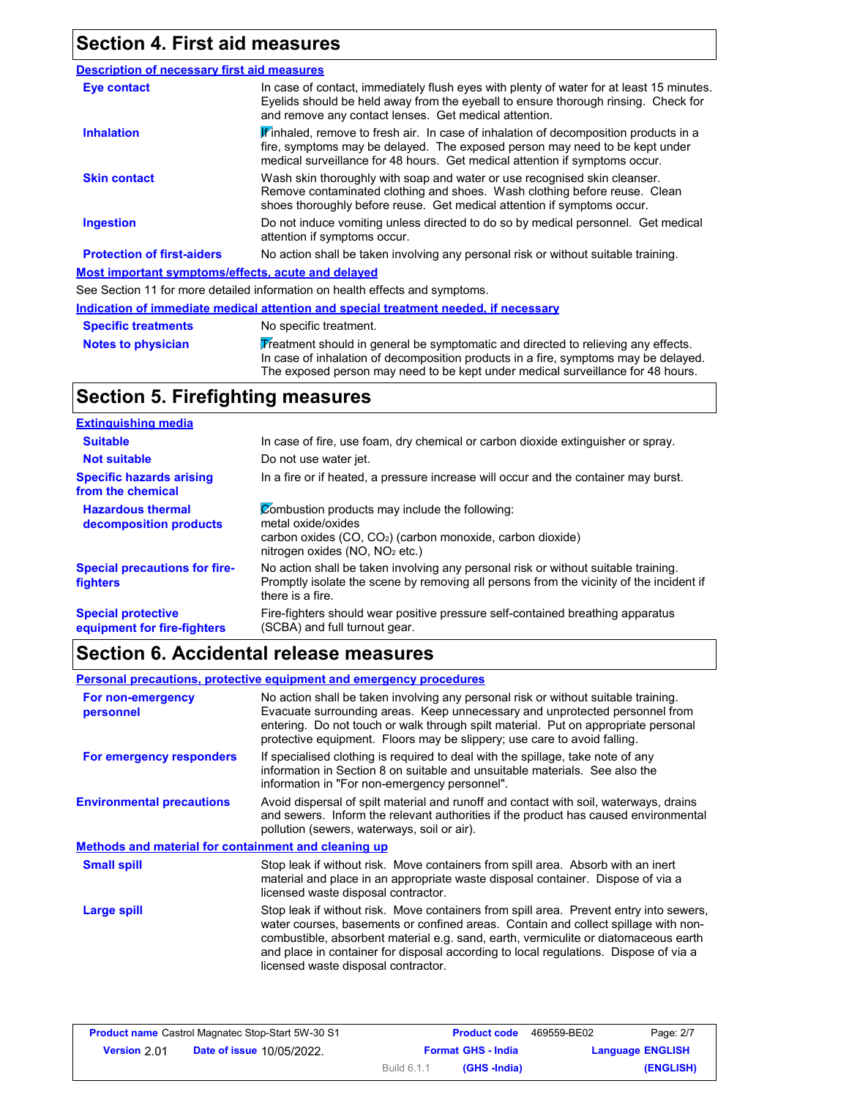### **Section 4. First aid measures**

| <b>Description of necessary first aid measures</b>        |                                                                                                                                                                                                                                                   |  |  |  |
|-----------------------------------------------------------|---------------------------------------------------------------------------------------------------------------------------------------------------------------------------------------------------------------------------------------------------|--|--|--|
| Eye contact                                               | In case of contact, immediately flush eyes with plenty of water for at least 15 minutes.<br>Eyelids should be held away from the eyeball to ensure thorough rinsing. Check for<br>and remove any contact lenses. Get medical attention.           |  |  |  |
| <b>Inhalation</b>                                         | Winhaled, remove to fresh air. In case of inhalation of decomposition products in a<br>fire, symptoms may be delayed. The exposed person may need to be kept under<br>medical surveillance for 48 hours. Get medical attention if symptoms occur. |  |  |  |
| <b>Skin contact</b>                                       | Wash skin thoroughly with soap and water or use recognised skin cleanser.<br>Remove contaminated clothing and shoes. Wash clothing before reuse. Clean<br>shoes thoroughly before reuse. Get medical attention if symptoms occur.                 |  |  |  |
| <b>Ingestion</b>                                          | Do not induce vomiting unless directed to do so by medical personnel. Get medical<br>attention if symptoms occur.                                                                                                                                 |  |  |  |
| <b>Protection of first-aiders</b>                         | No action shall be taken involving any personal risk or without suitable training.                                                                                                                                                                |  |  |  |
| <b>Most important symptoms/effects, acute and delayed</b> |                                                                                                                                                                                                                                                   |  |  |  |
|                                                           | See Section 11 for more detailed information on health effects and symptoms.                                                                                                                                                                      |  |  |  |
|                                                           | Indication of immediate medical attention and special treatment needed, if necessary                                                                                                                                                              |  |  |  |
| <b>Specific treatments</b>                                | No specific treatment.                                                                                                                                                                                                                            |  |  |  |
| <b>Notes to physician</b>                                 | Treatment should in general be symptomatic and directed to relieving any effects.<br>In case of inhalation of decomposition products in a fire, symptoms may be delayed.                                                                          |  |  |  |

The exposed person may need to be kept under medical surveillance for 48 hours.

### **Section 5. Firefighting measures**

| <b>Extinguishing media</b>                               |                                                                                                                                                                                                   |
|----------------------------------------------------------|---------------------------------------------------------------------------------------------------------------------------------------------------------------------------------------------------|
| <b>Suitable</b>                                          | In case of fire, use foam, dry chemical or carbon dioxide extinguisher or spray.                                                                                                                  |
| <b>Not suitable</b>                                      | Do not use water jet.                                                                                                                                                                             |
| <b>Specific hazards arising</b><br>from the chemical     | In a fire or if heated, a pressure increase will occur and the container may burst.                                                                                                               |
| <b>Hazardous thermal</b><br>decomposition products       | Combustion products may include the following:<br>metal oxide/oxides<br>carbon oxides (CO, CO <sub>2</sub> ) (carbon monoxide, carbon dioxide)<br>nitrogen oxides (NO, NO <sub>2</sub> etc.)      |
| <b>Special precautions for fire-</b><br><b>fighters</b>  | No action shall be taken involving any personal risk or without suitable training.<br>Promptly isolate the scene by removing all persons from the vicinity of the incident if<br>there is a fire. |
| <b>Special protective</b><br>equipment for fire-fighters | Fire-fighters should wear positive pressure self-contained breathing apparatus<br>(SCBA) and full turnout gear.                                                                                   |

### **Section 6. Accidental release measures**

**Environmental precautions Large spill Small spill Methods and material for containment and cleaning up Personal precautions, protective equipment and emergency procedures For non-emergency personnel For emergency responders** No action shall be taken involving any personal risk or without suitable training. Evacuate surrounding areas. Keep unnecessary and unprotected personnel from entering. Do not touch or walk through spilt material. Put on appropriate personal protective equipment. Floors may be slippery; use care to avoid falling. If specialised clothing is required to deal with the spillage, take note of any information in Section 8 on suitable and unsuitable materials. See also the information in "For non-emergency personnel". Avoid dispersal of spilt material and runoff and contact with soil, waterways, drains and sewers. Inform the relevant authorities if the product has caused environmental pollution (sewers, waterways, soil or air). Stop leak if without risk. Move containers from spill area. Prevent entry into sewers, water courses, basements or confined areas. Contain and collect spillage with noncombustible, absorbent material e.g. sand, earth, vermiculite or diatomaceous earth and place in container for disposal according to local regulations. Dispose of via a licensed waste disposal contractor. Stop leak if without risk. Move containers from spill area. Absorb with an inert material and place in an appropriate waste disposal container. Dispose of via a licensed waste disposal contractor.

| Page: 2/7               | 469559-BE02 | <b>Product code</b>       |             | <b>Product name</b> Castrol Magnatec Stop-Start 5W-30 S1 |                     |
|-------------------------|-------------|---------------------------|-------------|----------------------------------------------------------|---------------------|
| <b>Language ENGLISH</b> |             | <b>Format GHS - India</b> |             | <b>Date of issue 10/05/2022.</b>                         | <b>Version</b> 2.01 |
| (ENGLISH)               |             | (GHS -India)              | Build 6.1.1 |                                                          |                     |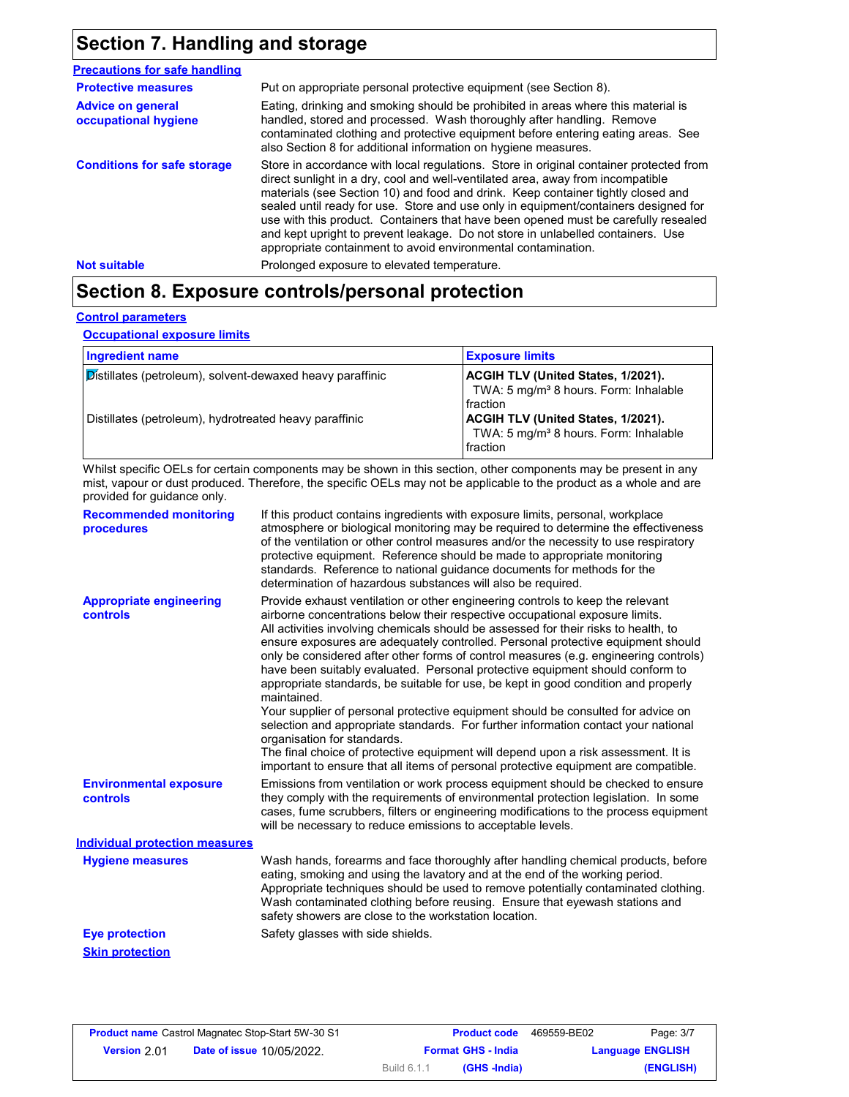# **Section 7. Handling and storage**

| <b>Precautions for safe handling</b>             |                                                                                                                                                                                                                                                                                                                                                                                                                                                                                                                                                                                                |
|--------------------------------------------------|------------------------------------------------------------------------------------------------------------------------------------------------------------------------------------------------------------------------------------------------------------------------------------------------------------------------------------------------------------------------------------------------------------------------------------------------------------------------------------------------------------------------------------------------------------------------------------------------|
| <b>Protective measures</b>                       | Put on appropriate personal protective equipment (see Section 8).                                                                                                                                                                                                                                                                                                                                                                                                                                                                                                                              |
| <b>Advice on general</b><br>occupational hygiene | Eating, drinking and smoking should be prohibited in areas where this material is<br>handled, stored and processed. Wash thoroughly after handling. Remove<br>contaminated clothing and protective equipment before entering eating areas. See<br>also Section 8 for additional information on hygiene measures.                                                                                                                                                                                                                                                                               |
| <b>Conditions for safe storage</b>               | Store in accordance with local regulations. Store in original container protected from<br>direct sunlight in a dry, cool and well-ventilated area, away from incompatible<br>materials (see Section 10) and food and drink. Keep container tightly closed and<br>sealed until ready for use. Store and use only in equipment/containers designed for<br>use with this product. Containers that have been opened must be carefully resealed<br>and kept upright to prevent leakage. Do not store in unlabelled containers. Use<br>appropriate containment to avoid environmental contamination. |
| <b>Not suitable</b>                              | Prolonged exposure to elevated temperature.                                                                                                                                                                                                                                                                                                                                                                                                                                                                                                                                                    |

# **Section 8. Exposure controls/personal protection**

#### **Control parameters**

**Occupational exposure limits**

| <b>Ingredient name</b>                                    | <b>Exposure limits</b>                                                                                     |
|-----------------------------------------------------------|------------------------------------------------------------------------------------------------------------|
| Distillates (petroleum), solvent-dewaxed heavy paraffinic | ACGIH TLV (United States, 1/2021).<br>TWA: 5 mg/m <sup>3</sup> 8 hours. Form: Inhalable<br>fraction        |
| Distillates (petroleum), hydrotreated heavy paraffinic    | <b>ACGIH TLV (United States, 1/2021).</b><br>TWA: 5 mg/m <sup>3</sup> 8 hours. Form: Inhalable<br>fraction |

Whilst specific OELs for certain components may be shown in this section, other components may be present in any mist, vapour or dust produced. Therefore, the specific OELs may not be applicable to the product as a whole and are provided for guidance only.

| <b>Recommended monitoring</b><br>procedures       | If this product contains ingredients with exposure limits, personal, workplace<br>atmosphere or biological monitoring may be required to determine the effectiveness<br>of the ventilation or other control measures and/or the necessity to use respiratory<br>protective equipment. Reference should be made to appropriate monitoring<br>standards. Reference to national guidance documents for methods for the<br>determination of hazardous substances will also be required.                                                                                                                                                                                                                                                                                                                                                                                                                                                                                                                           |
|---------------------------------------------------|---------------------------------------------------------------------------------------------------------------------------------------------------------------------------------------------------------------------------------------------------------------------------------------------------------------------------------------------------------------------------------------------------------------------------------------------------------------------------------------------------------------------------------------------------------------------------------------------------------------------------------------------------------------------------------------------------------------------------------------------------------------------------------------------------------------------------------------------------------------------------------------------------------------------------------------------------------------------------------------------------------------|
| <b>Appropriate engineering</b><br><b>controls</b> | Provide exhaust ventilation or other engineering controls to keep the relevant<br>airborne concentrations below their respective occupational exposure limits.<br>All activities involving chemicals should be assessed for their risks to health, to<br>ensure exposures are adequately controlled. Personal protective equipment should<br>only be considered after other forms of control measures (e.g. engineering controls)<br>have been suitably evaluated. Personal protective equipment should conform to<br>appropriate standards, be suitable for use, be kept in good condition and properly<br>maintained.<br>Your supplier of personal protective equipment should be consulted for advice on<br>selection and appropriate standards. For further information contact your national<br>organisation for standards.<br>The final choice of protective equipment will depend upon a risk assessment. It is<br>important to ensure that all items of personal protective equipment are compatible. |
| <b>Environmental exposure</b><br>controls         | Emissions from ventilation or work process equipment should be checked to ensure<br>they comply with the requirements of environmental protection legislation. In some<br>cases, fume scrubbers, filters or engineering modifications to the process equipment<br>will be necessary to reduce emissions to acceptable levels.                                                                                                                                                                                                                                                                                                                                                                                                                                                                                                                                                                                                                                                                                 |
| <b>Individual protection measures</b>             |                                                                                                                                                                                                                                                                                                                                                                                                                                                                                                                                                                                                                                                                                                                                                                                                                                                                                                                                                                                                               |
| <b>Hygiene measures</b>                           | Wash hands, forearms and face thoroughly after handling chemical products, before<br>eating, smoking and using the lavatory and at the end of the working period.<br>Appropriate techniques should be used to remove potentially contaminated clothing.<br>Wash contaminated clothing before reusing. Ensure that eyewash stations and<br>safety showers are close to the workstation location.                                                                                                                                                                                                                                                                                                                                                                                                                                                                                                                                                                                                               |
| <b>Eye protection</b>                             | Safety glasses with side shields.                                                                                                                                                                                                                                                                                                                                                                                                                                                                                                                                                                                                                                                                                                                                                                                                                                                                                                                                                                             |
| <b>Skin protection</b>                            |                                                                                                                                                                                                                                                                                                                                                                                                                                                                                                                                                                                                                                                                                                                                                                                                                                                                                                                                                                                                               |

| <b>Product name</b> Castrol Magnatec Stop-Start 5W-30 S1 |                                  |                           | <b>Product code</b> | 469559-BE02 | Page: 3/7               |
|----------------------------------------------------------|----------------------------------|---------------------------|---------------------|-------------|-------------------------|
| Version 2.01                                             | <b>Date of issue 10/05/2022.</b> | <b>Format GHS - India</b> |                     |             | <b>Language ENGLISH</b> |
|                                                          |                                  | Build 6.1.1               | (GHS -India)        |             | (ENGLISH)               |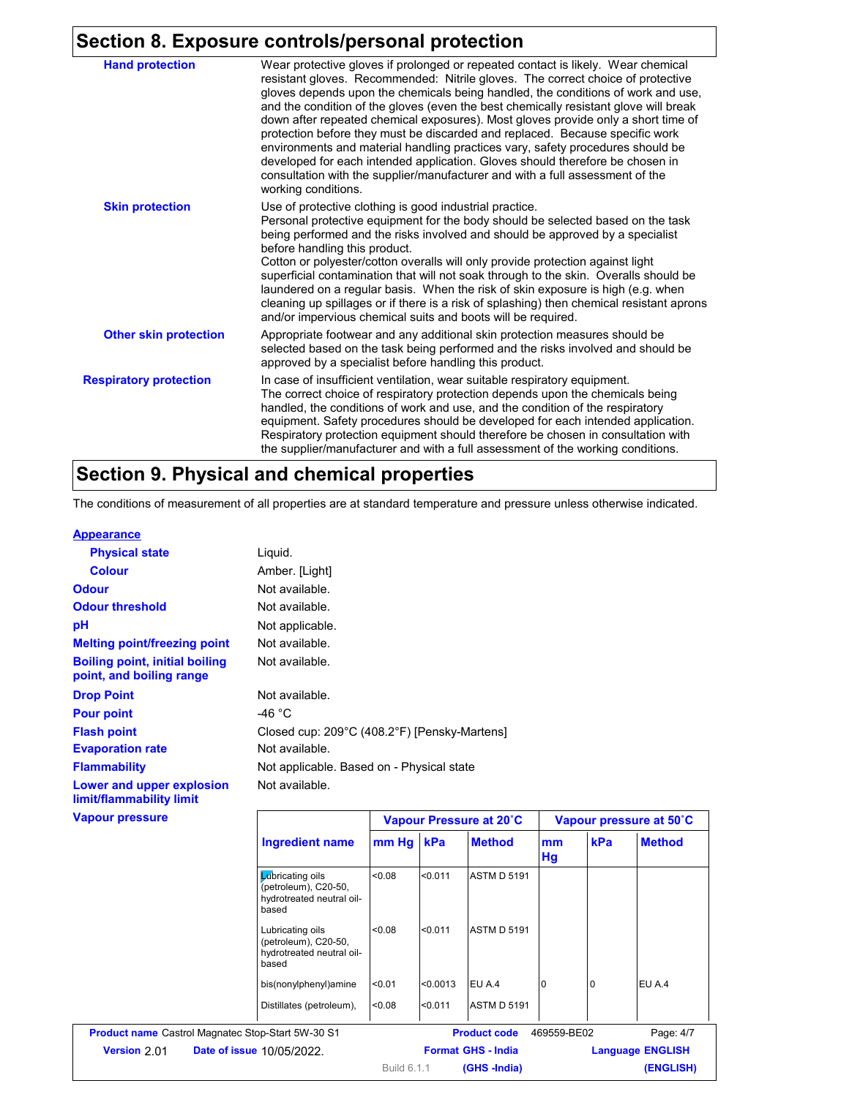# **Section 8. Exposure controls/personal protection**

| <b>Hand protection</b>        | Wear protective gloves if prolonged or repeated contact is likely. Wear chemical<br>resistant gloves. Recommended: Nitrile gloves. The correct choice of protective<br>gloves depends upon the chemicals being handled, the conditions of work and use,<br>and the condition of the gloves (even the best chemically resistant glove will break<br>down after repeated chemical exposures). Most gloves provide only a short time of<br>protection before they must be discarded and replaced. Because specific work<br>environments and material handling practices vary, safety procedures should be<br>developed for each intended application. Gloves should therefore be chosen in<br>consultation with the supplier/manufacturer and with a full assessment of the<br>working conditions. |  |  |
|-------------------------------|-------------------------------------------------------------------------------------------------------------------------------------------------------------------------------------------------------------------------------------------------------------------------------------------------------------------------------------------------------------------------------------------------------------------------------------------------------------------------------------------------------------------------------------------------------------------------------------------------------------------------------------------------------------------------------------------------------------------------------------------------------------------------------------------------|--|--|
| <b>Skin protection</b>        | Use of protective clothing is good industrial practice.<br>Personal protective equipment for the body should be selected based on the task<br>being performed and the risks involved and should be approved by a specialist<br>before handling this product.<br>Cotton or polyester/cotton overalls will only provide protection against light<br>superficial contamination that will not soak through to the skin. Overalls should be<br>laundered on a regular basis. When the risk of skin exposure is high (e.g. when<br>cleaning up spillages or if there is a risk of splashing) then chemical resistant aprons<br>and/or impervious chemical suits and boots will be required.                                                                                                           |  |  |
| <b>Other skin protection</b>  | Appropriate footwear and any additional skin protection measures should be<br>selected based on the task being performed and the risks involved and should be<br>approved by a specialist before handling this product.                                                                                                                                                                                                                                                                                                                                                                                                                                                                                                                                                                         |  |  |
| <b>Respiratory protection</b> | In case of insufficient ventilation, wear suitable respiratory equipment.<br>The correct choice of respiratory protection depends upon the chemicals being<br>handled, the conditions of work and use, and the condition of the respiratory<br>equipment. Safety procedures should be developed for each intended application.<br>Respiratory protection equipment should therefore be chosen in consultation with<br>the supplier/manufacturer and with a full assessment of the working conditions.                                                                                                                                                                                                                                                                                           |  |  |

## **Section 9. Physical and chemical properties**

The conditions of measurement of all properties are at standard temperature and pressure unless otherwise indicated.

| <b>Appearance</b>                                                 |                                           |                                              |
|-------------------------------------------------------------------|-------------------------------------------|----------------------------------------------|
| <b>Physical state</b>                                             | Liquid.                                   |                                              |
| <b>Colour</b>                                                     | Amber. [Light]                            |                                              |
| <b>Odour</b>                                                      | Not available.                            |                                              |
| <b>Odour threshold</b>                                            | Not available.                            |                                              |
| рH                                                                | Not applicable.                           |                                              |
| <b>Melting point/freezing point</b>                               | Not available.                            |                                              |
| <b>Boiling point, initial boiling</b><br>point, and boiling range | Not available.                            |                                              |
| <b>Drop Point</b>                                                 | Not available.                            |                                              |
| <b>Pour point</b>                                                 | -46 °C                                    |                                              |
| <b>Flash point</b>                                                |                                           | Closed cup: 209°C (408.2°F) [Pensky-Martens] |
| <b>Evaporation rate</b>                                           | Not available.                            |                                              |
| <b>Flammability</b>                                               | Not applicable. Based on - Physical state |                                              |
| Lower and upper explosion<br>limit/flammability limit             | Not available.                            |                                              |
| <b>Vapour pressure</b>                                            |                                           | Vapour Pressure at 20°C                      |

| pour pressure |                                                                                |             | Vapour Pressure at 20°C |                           |             | Vapour pressure at 50°C |               |
|---------------|--------------------------------------------------------------------------------|-------------|-------------------------|---------------------------|-------------|-------------------------|---------------|
|               | <b>Ingredient name</b>                                                         | mm Hg kPa   |                         | <b>Method</b>             | mm<br>Hg    | kPa                     | <b>Method</b> |
|               | Lubricating oils<br>(petroleum), C20-50,<br>hydrotreated neutral oil-<br>based | < 0.08      | < 0.011                 | <b>ASTM D 5191</b>        |             |                         |               |
|               | Lubricating oils<br>(petroleum), C20-50,<br>hydrotreated neutral oil-<br>based | < 0.08      | < 0.011                 | <b>ASTM D 5191</b>        |             |                         |               |
|               | bis(nonylphenyl)amine                                                          | < 0.01      | < 0.0013                | EU A.4                    |             |                         | EU A.4        |
|               | Distillates (petroleum),                                                       | < 0.08      | < 0.011                 | <b>ASTM D 5191</b>        |             |                         |               |
|               | Product name Castrol Magnatec Stop-Start 5W-30 S1                              |             |                         | <b>Product code</b>       | 469559-BE02 |                         | Page: 4/7     |
| Version 2.01  | <b>Date of issue 10/05/2022.</b>                                               |             |                         | <b>Format GHS - India</b> |             | <b>Language ENGLISH</b> |               |
|               |                                                                                | Build 6.1.1 |                         | (GHS-India)               |             |                         | (ENGLISH)     |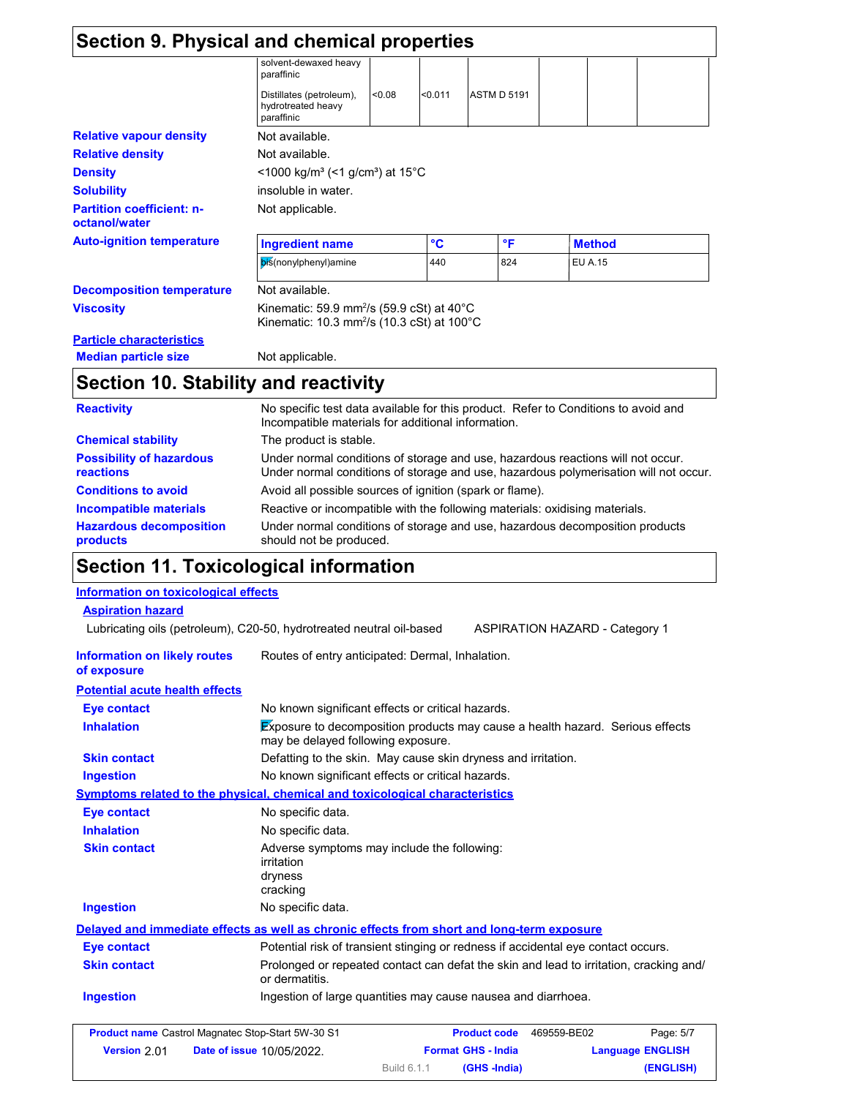| Section 9. Physical and chemical properties       |                                                                                                                                          |        |         |                    |  |                |  |
|---------------------------------------------------|------------------------------------------------------------------------------------------------------------------------------------------|--------|---------|--------------------|--|----------------|--|
|                                                   | solvent-dewaxed heavy<br>paraffinic                                                                                                      |        |         |                    |  |                |  |
|                                                   | Distillates (petroleum),<br>hydrotreated heavy<br>paraffinic                                                                             | < 0.08 | < 0.011 | <b>ASTM D 5191</b> |  |                |  |
| <b>Relative vapour density</b>                    | Not available.                                                                                                                           |        |         |                    |  |                |  |
| <b>Relative density</b>                           | Not available.                                                                                                                           |        |         |                    |  |                |  |
| <b>Density</b>                                    | <1000 kg/m <sup>3</sup> (<1 g/cm <sup>3</sup> ) at 15°C                                                                                  |        |         |                    |  |                |  |
| <b>Solubility</b>                                 | insoluble in water.                                                                                                                      |        |         |                    |  |                |  |
| <b>Partition coefficient: n-</b><br>octanol/water | Not applicable.                                                                                                                          |        |         |                    |  |                |  |
| <b>Auto-ignition temperature</b>                  | <b>Ingredient name</b>                                                                                                                   |        | °C      | $\mathsf{P}$       |  | <b>Method</b>  |  |
|                                                   | bis(nonylphenyl)amine                                                                                                                    |        | 440     | 824                |  | <b>EU A.15</b> |  |
| <b>Decomposition temperature</b>                  | Not available.                                                                                                                           |        |         |                    |  |                |  |
| <b>Viscosity</b>                                  | Kinematic: 59.9 mm <sup>2</sup> /s (59.9 cSt) at 40 $^{\circ}$ C<br>Kinematic: 10.3 mm <sup>2</sup> /s (10.3 cSt) at 100°C               |        |         |                    |  |                |  |
| <b>Particle characteristics</b>                   |                                                                                                                                          |        |         |                    |  |                |  |
| <b>Median particle size</b>                       | Not applicable.                                                                                                                          |        |         |                    |  |                |  |
| Section 10. Stability and reactivity              |                                                                                                                                          |        |         |                    |  |                |  |
| <b>Reactivity</b>                                 | No specific test data available for this product. Refer to Conditions to avoid and<br>Incompatible materials for additional information. |        |         |                    |  |                |  |

|                                                     | <u>mcompandie materials for additional information.</u>                                                                                                                 |
|-----------------------------------------------------|-------------------------------------------------------------------------------------------------------------------------------------------------------------------------|
| <b>Chemical stability</b>                           | The product is stable.                                                                                                                                                  |
| <b>Possibility of hazardous</b><br><b>reactions</b> | Under normal conditions of storage and use, hazardous reactions will not occur.<br>Under normal conditions of storage and use, hazardous polymerisation will not occur. |
| <b>Conditions to avoid</b>                          | Avoid all possible sources of ignition (spark or flame).                                                                                                                |
| Incompatible materials                              | Reactive or incompatible with the following materials: oxidising materials.                                                                                             |
| <b>Hazardous decomposition</b><br><b>products</b>   | Under normal conditions of storage and use, hazardous decomposition products<br>should not be produced.                                                                 |
|                                                     |                                                                                                                                                                         |

# **Section 11. Toxicological information**

| <b>Information on toxicological effects</b>              |                                                                                                                     |                                    |                                       |
|----------------------------------------------------------|---------------------------------------------------------------------------------------------------------------------|------------------------------------|---------------------------------------|
| <b>Aspiration hazard</b>                                 |                                                                                                                     |                                    |                                       |
|                                                          | Lubricating oils (petroleum), C20-50, hydrotreated neutral oil-based                                                |                                    | <b>ASPIRATION HAZARD - Category 1</b> |
| <b>Information on likely routes</b><br>of exposure       | Routes of entry anticipated: Dermal, Inhalation.                                                                    |                                    |                                       |
| <b>Potential acute health effects</b>                    |                                                                                                                     |                                    |                                       |
| <b>Eye contact</b>                                       | No known significant effects or critical hazards.                                                                   |                                    |                                       |
| <b>Inhalation</b>                                        | Exposure to decomposition products may cause a health hazard. Serious effects<br>may be delayed following exposure. |                                    |                                       |
| <b>Skin contact</b>                                      | Defatting to the skin. May cause skin dryness and irritation.                                                       |                                    |                                       |
| <b>Ingestion</b>                                         | No known significant effects or critical hazards.                                                                   |                                    |                                       |
|                                                          | <b>Symptoms related to the physical, chemical and toxicological characteristics</b>                                 |                                    |                                       |
| Eye contact                                              | No specific data.                                                                                                   |                                    |                                       |
| <b>Inhalation</b>                                        | No specific data.                                                                                                   |                                    |                                       |
| <b>Skin contact</b>                                      | Adverse symptoms may include the following:<br>irritation<br>dryness<br>cracking                                    |                                    |                                       |
| <b>Ingestion</b>                                         | No specific data.                                                                                                   |                                    |                                       |
|                                                          | Delayed and immediate effects as well as chronic effects from short and long-term exposure                          |                                    |                                       |
| <b>Eye contact</b>                                       | Potential risk of transient stinging or redness if accidental eye contact occurs.                                   |                                    |                                       |
| <b>Skin contact</b>                                      | Prolonged or repeated contact can defat the skin and lead to irritation, cracking and/<br>or dermatitis.            |                                    |                                       |
| <b>Ingestion</b>                                         | Ingestion of large quantities may cause nausea and diarrhoea.                                                       |                                    |                                       |
| <b>Product name Castrol Magnatec Stop-Start 5W-30 S1</b> |                                                                                                                     | <b>Product code</b><br>469559-BE02 | Page: 5/7                             |
| Version 2.01                                             | Date of issue 10/05/2022.                                                                                           | <b>Format GHS - India</b>          | <b>Language ENGLISH</b>               |

Build 6.1.1

**(GHS -India) (ENGLISH)**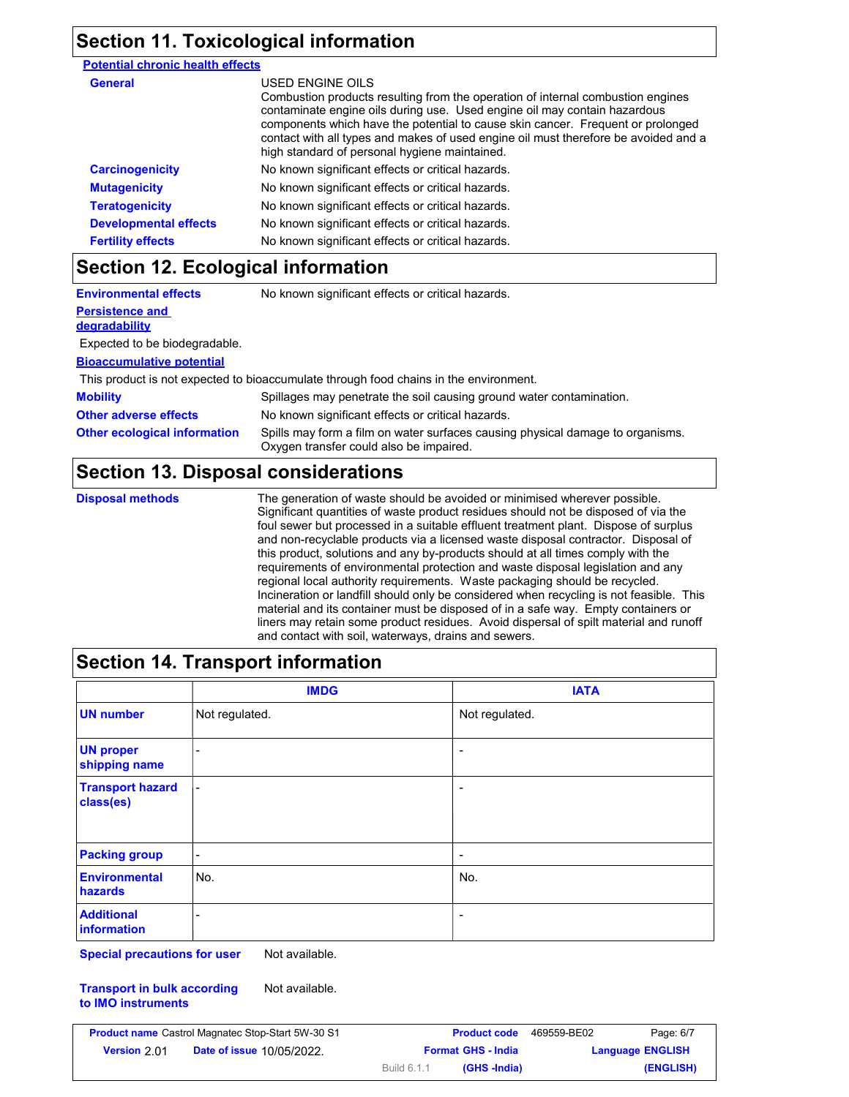### **Section 11. Toxicological information**

### **Potential chronic health effects**

| General                      | USED ENGINE OILS<br>Combustion products resulting from the operation of internal combustion engines<br>contaminate engine oils during use. Used engine oil may contain hazardous<br>components which have the potential to cause skin cancer. Frequent or prolonged<br>contact with all types and makes of used engine oil must therefore be avoided and a<br>high standard of personal hygiene maintained. |
|------------------------------|-------------------------------------------------------------------------------------------------------------------------------------------------------------------------------------------------------------------------------------------------------------------------------------------------------------------------------------------------------------------------------------------------------------|
| <b>Carcinogenicity</b>       | No known significant effects or critical hazards.                                                                                                                                                                                                                                                                                                                                                           |
| <b>Mutagenicity</b>          | No known significant effects or critical hazards.                                                                                                                                                                                                                                                                                                                                                           |
| <b>Teratogenicity</b>        | No known significant effects or critical hazards.                                                                                                                                                                                                                                                                                                                                                           |
| <b>Developmental effects</b> | No known significant effects or critical hazards.                                                                                                                                                                                                                                                                                                                                                           |
| <b>Fertility effects</b>     | No known significant effects or critical hazards.                                                                                                                                                                                                                                                                                                                                                           |

### **Section 12. Ecological information**

| <b>Environmental effects</b>                   | No known significant effects or critical hazards.                                                                         |
|------------------------------------------------|---------------------------------------------------------------------------------------------------------------------------|
| <b>Persistence and</b><br><b>degradability</b> |                                                                                                                           |
| Expected to be biodegradable.                  |                                                                                                                           |
| <b>Bioaccumulative potential</b>               |                                                                                                                           |
|                                                | This product is not expected to bioaccumulate through food chains in the environment.                                     |
| <b>Mobility</b>                                | Spillages may penetrate the soil causing ground water contamination.                                                      |
| <b>Other adverse effects</b>                   | No known significant effects or critical hazards.                                                                         |
| <b>Other ecological information</b>            | Spills may form a film on water surfaces causing physical damage to organisms.<br>Oxygen transfer could also be impaired. |

### **Section 13. Disposal considerations**

**Disposal methods** The generation of waste should be avoided or minimised wherever possible. Significant quantities of waste product residues should not be disposed of via the foul sewer but processed in a suitable effluent treatment plant. Dispose of surplus and non-recyclable products via a licensed waste disposal contractor. Disposal of this product, solutions and any by-products should at all times comply with the requirements of environmental protection and waste disposal legislation and any regional local authority requirements. Waste packaging should be recycled. Incineration or landfill should only be considered when recycling is not feasible. This material and its container must be disposed of in a safe way. Empty containers or liners may retain some product residues. Avoid dispersal of spilt material and runoff and contact with soil, waterways, drains and sewers.

### **Section 14. Transport information**

|                                      | <b>IMDG</b>              | <b>IATA</b>              |
|--------------------------------------|--------------------------|--------------------------|
| <b>UN number</b>                     | Not regulated.           | Not regulated.           |
| <b>UN proper</b><br>shipping name    | -                        | $\overline{\phantom{a}}$ |
| <b>Transport hazard</b><br>class(es) |                          | $\overline{\phantom{a}}$ |
| <b>Packing group</b>                 | $\overline{\phantom{a}}$ | $\overline{\phantom{a}}$ |
| <b>Environmental</b><br>hazards      | No.                      | No.                      |
| <b>Additional</b><br>information     |                          | $\overline{\phantom{a}}$ |

**Special precautions for user** Not available.

**Transport in bulk according to IMO instruments** Not available.

| Page: 6/7<br>469559-BE02 |  | <b>Product code</b>       |             | <b>Product name</b> Castrol Magnatec Stop-Start 5W-30 S1 |              |
|--------------------------|--|---------------------------|-------------|----------------------------------------------------------|--------------|
| <b>Language ENGLISH</b>  |  | <b>Format GHS - India</b> |             | <b>Date of issue 10/05/2022.</b>                         | Version 2.01 |
| (ENGLISH)                |  | (GHS -India)              | Build 6.1.1 |                                                          |              |